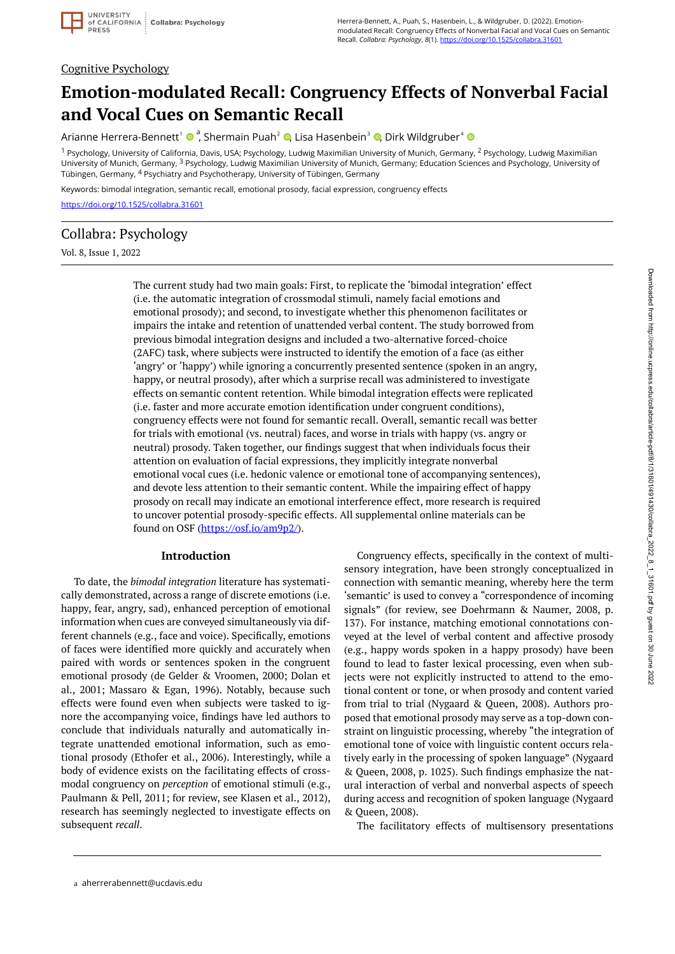

#### Cognitive Psychology

# **Emotion-modulated Recall: Congruency Effects of Nonverbal Facial and Vocal Cues on Semantic Recall**

Arianne Herrera-Bennett <sup>1</sup><sup>a</sup> , Shermain Puah <sup>2</sup> [,](https://orcid.org/0000-0002-3049-1133) Lisa Hasenbein <sup>3</sup> [,](https://orcid.org/0000-0001-9648-8298) Dirk Wildgruber <sup>4</sup>

<sup>1</sup> Psychology, University of California, Davis, USA; Psychology, Ludwig Maximilian University of Munich, Germany, <sup>2</sup> Psychology, Ludwig Maximilian University of Munich, Germany, <sup>3</sup> Psychology, Ludwig Maximilian University of Munich, Germany; Education Sciences and Psychology, University of Tübingen, Germany, <sup>4</sup> Psychiatry and Psychotherapy, University of Tübingen, Germany

Keywords: bimodal integration, semantic recall, emotional prosody, facial expression, congruency effects <https://doi.org/10.1525/collabra.31601>

# Collabra: Psychology

Vol. 8, Issue 1, 2022

The current study had two main goals: First, to replicate the 'bimodal integration' effect (i.e. the automatic integration of crossmodal stimuli, namely facial emotions and emotional prosody); and second, to investigate whether this phenomenon facilitates or impairs the intake and retention of unattended verbal content. The study borrowed from previous bimodal integration designs and included a two-alternative forced-choice (2AFC) task, where subjects were instructed to identify the emotion of a face (as either 'angry' or 'happy') while ignoring a concurrently presented sentence (spoken in an angry, happy, or neutral prosody), after which a surprise recall was administered to investigate effects on semantic content retention. While bimodal integration effects were replicated (i.e. faster and more accurate emotion identification under congruent conditions), congruency effects were not found for semantic recall. Overall, semantic recall was better for trials with emotional (vs. neutral) faces, and worse in trials with happy (vs. angry or neutral) prosody. Taken together, our findings suggest that when individuals focus their attention on evaluation of facial expressions, they implicitly integrate nonverbal emotional vocal cues (i.e. hedonic valence or emotional tone of accompanying sentences), and devote less attention to their semantic content. While the impairing effect of happy prosody on recall may indicate an emotional interference effect, more research is required to uncover potential prosody-specific effects. All supplemental online materials can be found on OSF [\(https://osf.io/am9p2/\)](https://osf.io/am9p2/).

#### **Introduction**

To date, the *bimodal integration* literature has systematically demonstrated, across a range of discrete emotions (i.e. happy, fear, angry, sad), enhanced perception of emotional information when cues are conveyed simultaneously via different channels (e.g., face and voice). Specifically, emotions of faces were identified more quickly and accurately when paired with words or sentences spoken in the congruent emotional prosody (de Gelder & Vroomen, 2000; Dolan et al., 2001; Massaro & Egan, 1996). Notably, because such effects were found even when subjects were tasked to ignore the accompanying voice, findings have led authors to conclude that individuals naturally and automatically integrate unattended emotional information, such as emotional prosody (Ethofer et al., 2006). Interestingly, while a body of evidence exists on the facilitating effects of crossmodal congruency on *perception* of emotional stimuli (e.g., Paulmann & Pell, 2011; for review, see Klasen et al., 2012), research has seemingly neglected to investigate effects on subsequent *recall*.

Congruency effects, specifically in the context of multisensory integration, have been strongly conceptualized in connection with semantic meaning, whereby here the term 'semantic' is used to convey a "correspondence of incoming signals" (for review, see Doehrmann & Naumer, 2008, p. 137). For instance, matching emotional connotations conveyed at the level of verbal content and affective prosody (e.g., happy words spoken in a happy prosody) have been found to lead to faster lexical processing, even when subjects were not explicitly instructed to attend to the emotional content or tone, or when prosody and content varied from trial to trial (Nygaard & Queen, 2008). Authors proposed that emotional prosody may serve as a top-down constraint on linguistic processing, whereby "the integration of emotional tone of voice with linguistic content occurs relatively early in the processing of spoken language" (Nygaard & Queen, 2008, p. 1025). Such findings emphasize the natural interaction of verbal and nonverbal aspects of speech during access and recognition of spoken language (Nygaard & Queen, 2008).

The facilitatory effects of multisensory presentations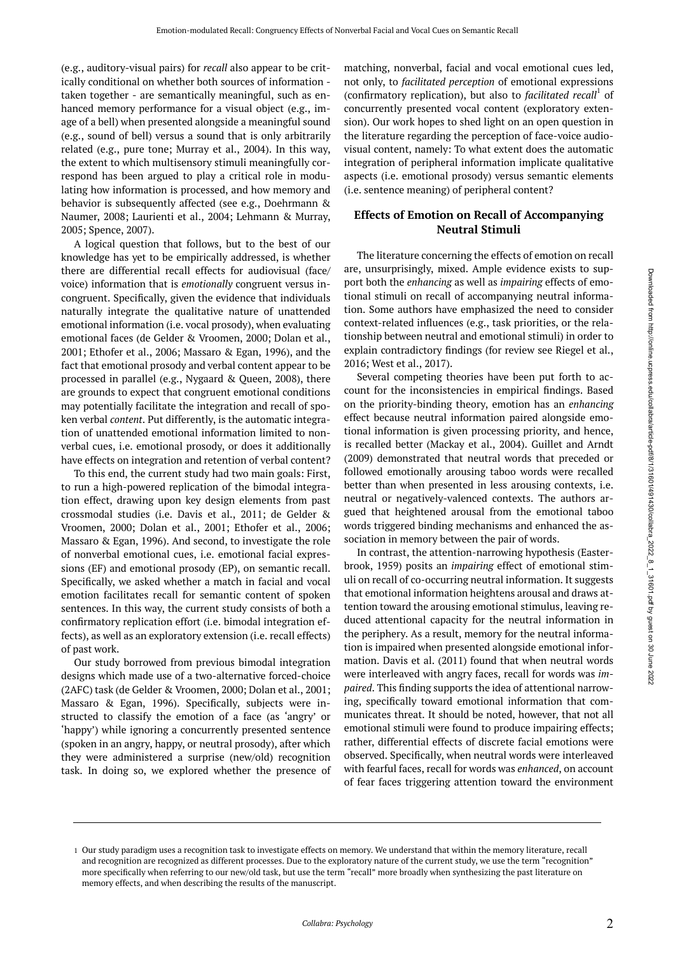(e.g., auditory-visual pairs) for *recall* also appear to be critically conditional on whether both sources of information taken together - are semantically meaningful, such as enhanced memory performance for a visual object (e.g., image of a bell) when presented alongside a meaningful sound (e.g., sound of bell) versus a sound that is only arbitrarily related (e.g., pure tone; Murray et al., 2004). In this way, the extent to which multisensory stimuli meaningfully correspond has been argued to play a critical role in modulating how information is processed, and how memory and behavior is subsequently affected (see e.g., Doehrmann & Naumer, 2008; Laurienti et al., 2004; Lehmann & Murray, 2005; Spence, 2007).

A logical question that follows, but to the best of our knowledge has yet to be empirically addressed, is whether there are differential recall effects for audiovisual (face/ voice) information that is *emotionally* congruent versus incongruent. Specifically, given the evidence that individuals naturally integrate the qualitative nature of unattended emotional information (i.e. vocal prosody), when evaluating emotional faces (de Gelder & Vroomen, 2000; Dolan et al., 2001; Ethofer et al., 2006; Massaro & Egan, 1996), and the fact that emotional prosody and verbal content appear to be processed in parallel (e.g., Nygaard & Queen, 2008), there are grounds to expect that congruent emotional conditions may potentially facilitate the integration and recall of spoken verbal *content*. Put differently, is the automatic integration of unattended emotional information limited to nonverbal cues, i.e. emotional prosody, or does it additionally have effects on integration and retention of verbal content?

To this end, the current study had two main goals: First, to run a high-powered replication of the bimodal integration effect, drawing upon key design elements from past crossmodal studies (i.e. Davis et al., 2011; de Gelder & Vroomen, 2000; Dolan et al., 2001; Ethofer et al., 2006; Massaro & Egan, 1996). And second, to investigate the role of nonverbal emotional cues, i.e. emotional facial expressions (EF) and emotional prosody (EP), on semantic recall. Specifically, we asked whether a match in facial and vocal emotion facilitates recall for semantic content of spoken sentences. In this way, the current study consists of both a confirmatory replication effort (i.e. bimodal integration effects), as well as an exploratory extension (i.e. recall effects) of past work.

Our study borrowed from previous bimodal integration designs which made use of a two-alternative forced-choice (2AFC) task (de Gelder & Vroomen, 2000; Dolan et al., 2001; Massaro & Egan, 1996). Specifically, subjects were instructed to classify the emotion of a face (as 'angry' or 'happy') while ignoring a concurrently presented sentence (spoken in an angry, happy, or neutral prosody), after which they were administered a surprise (new/old) recognition task. In doing so, we explored whether the presence of matching, nonverbal, facial and vocal emotional cues led, not only, to *facilitated perception* of emotional expressions (confirmatory replication), but also to *facilitated recall*<sup>1</sup> of concurrently presented vocal content (exploratory extension). Our work hopes to shed light on an open question in the literature regarding the perception of face-voice audiovisual content, namely: To what extent does the automatic integration of peripheral information implicate qualitative aspects (i.e. emotional prosody) versus semantic elements (i.e. sentence meaning) of peripheral content?

### **Effects of Emotion on Recall of Accompanying Neutral Stimuli**

The literature concerning the effects of emotion on recall are, unsurprisingly, mixed. Ample evidence exists to support both the *enhancing* as well as *impairing* effects of emotional stimuli on recall of accompanying neutral information. Some authors have emphasized the need to consider context-related influences (e.g., task priorities, or the relationship between neutral and emotional stimuli) in order to explain contradictory findings (for review see Riegel et al., 2016; West et al., 2017).

Several competing theories have been put forth to account for the inconsistencies in empirical findings. Based on the priority-binding theory, emotion has an *enhancing*  effect because neutral information paired alongside emotional information is given processing priority, and hence, is recalled better (Mackay et al., 2004). Guillet and Arndt (2009) demonstrated that neutral words that preceded or followed emotionally arousing taboo words were recalled better than when presented in less arousing contexts, i.e. neutral or negatively-valenced contexts. The authors argued that heightened arousal from the emotional taboo words triggered binding mechanisms and enhanced the association in memory between the pair of words.

In contrast, the attention-narrowing hypothesis (Easterbrook, 1959) posits an *impairing* effect of emotional stimuli on recall of co-occurring neutral information. It suggests that emotional information heightens arousal and draws attention toward the arousing emotional stimulus, leaving reduced attentional capacity for the neutral information in the periphery. As a result, memory for the neutral information is impaired when presented alongside emotional information. Davis et al. (2011) found that when neutral words were interleaved with angry faces, recall for words was *impaired*. This finding supports the idea of attentional narrowing, specifically toward emotional information that communicates threat. It should be noted, however, that not all emotional stimuli were found to produce impairing effects; rather, differential effects of discrete facial emotions were observed. Specifically, when neutral words were interleaved with fearful faces, recall for words was *enhanced*, on account of fear faces triggering attention toward the environment

<sup>1</sup> Our study paradigm uses a recognition task to investigate effects on memory. We understand that within the memory literature, recall and recognition are recognized as different processes. Due to the exploratory nature of the current study, we use the term "recognition" more specifically when referring to our new/old task, but use the term "recall" more broadly when synthesizing the past literature on memory effects, and when describing the results of the manuscript.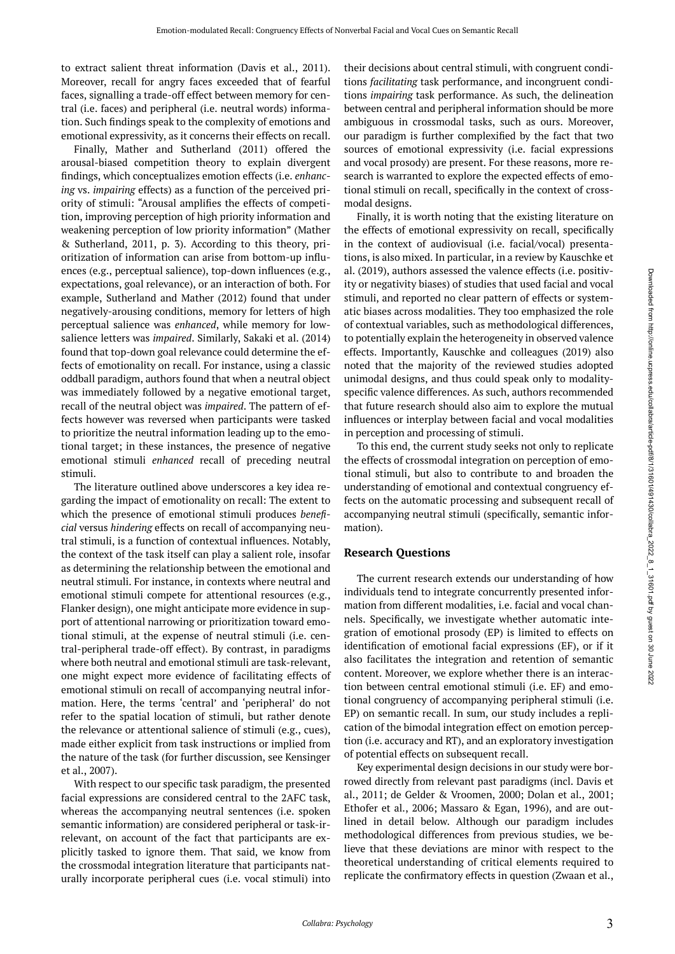to extract salient threat information (Davis et al., 2011). Moreover, recall for angry faces exceeded that of fearful faces, signalling a trade-off effect between memory for central (i.e. faces) and peripheral (i.e. neutral words) information. Such findings speak to the complexity of emotions and emotional expressivity, as it concerns their effects on recall.

Finally, Mather and Sutherland (2011) offered the arousal-biased competition theory to explain divergent findings, which conceptualizes emotion effects (i.e. *enhancing* vs. *impairing* effects) as a function of the perceived priority of stimuli: "Arousal amplifies the effects of competition, improving perception of high priority information and weakening perception of low priority information" (Mather & Sutherland, 2011, p. 3). According to this theory, prioritization of information can arise from bottom-up influences (e.g., perceptual salience), top-down influences (e.g., expectations, goal relevance), or an interaction of both. For example, Sutherland and Mather (2012) found that under negatively-arousing conditions, memory for letters of high perceptual salience was *enhanced*, while memory for lowsalience letters was *impaired*. Similarly, Sakaki et al. (2014) found that top-down goal relevance could determine the effects of emotionality on recall. For instance, using a classic oddball paradigm, authors found that when a neutral object was immediately followed by a negative emotional target, recall of the neutral object was *impaired*. The pattern of effects however was reversed when participants were tasked to prioritize the neutral information leading up to the emotional target; in these instances, the presence of negative emotional stimuli *enhanced* recall of preceding neutral stimuli.

The literature outlined above underscores a key idea regarding the impact of emotionality on recall: The extent to which the presence of emotional stimuli produces *beneficial* versus *hindering* effects on recall of accompanying neutral stimuli, is a function of contextual influences. Notably, the context of the task itself can play a salient role, insofar as determining the relationship between the emotional and neutral stimuli. For instance, in contexts where neutral and emotional stimuli compete for attentional resources (e.g., Flanker design), one might anticipate more evidence in support of attentional narrowing or prioritization toward emotional stimuli, at the expense of neutral stimuli (i.e. central-peripheral trade-off effect). By contrast, in paradigms where both neutral and emotional stimuli are task-relevant, one might expect more evidence of facilitating effects of emotional stimuli on recall of accompanying neutral information. Here, the terms 'central' and 'peripheral' do not refer to the spatial location of stimuli, but rather denote the relevance or attentional salience of stimuli (e.g., cues), made either explicit from task instructions or implied from the nature of the task (for further discussion, see Kensinger et al., 2007).

With respect to our specific task paradigm, the presented facial expressions are considered central to the 2AFC task, whereas the accompanying neutral sentences (i.e. spoken semantic information) are considered peripheral or task-irrelevant, on account of the fact that participants are explicitly tasked to ignore them. That said, we know from the crossmodal integration literature that participants naturally incorporate peripheral cues (i.e. vocal stimuli) into

their decisions about central stimuli, with congruent conditions *facilitating* task performance, and incongruent conditions *impairing* task performance. As such, the delineation between central and peripheral information should be more ambiguous in crossmodal tasks, such as ours. Moreover, our paradigm is further complexified by the fact that two sources of emotional expressivity (i.e. facial expressions and vocal prosody) are present. For these reasons, more research is warranted to explore the expected effects of emotional stimuli on recall, specifically in the context of crossmodal designs.

Finally, it is worth noting that the existing literature on the effects of emotional expressivity on recall, specifically in the context of audiovisual (i.e. facial/vocal) presentations, is also mixed. In particular, in a review by Kauschke et al. (2019), authors assessed the valence effects (i.e. positivity or negativity biases) of studies that used facial and vocal stimuli, and reported no clear pattern of effects or systematic biases across modalities. They too emphasized the role of contextual variables, such as methodological differences, to potentially explain the heterogeneity in observed valence effects. Importantly, Kauschke and colleagues (2019) also noted that the majority of the reviewed studies adopted unimodal designs, and thus could speak only to modalityspecific valence differences. As such, authors recommended that future research should also aim to explore the mutual influences or interplay between facial and vocal modalities in perception and processing of stimuli.

To this end, the current study seeks not only to replicate the effects of crossmodal integration on perception of emotional stimuli, but also to contribute to and broaden the understanding of emotional and contextual congruency effects on the automatic processing and subsequent recall of accompanying neutral stimuli (specifically, semantic information).

### **Research Questions**

The current research extends our understanding of how individuals tend to integrate concurrently presented information from different modalities, i.e. facial and vocal channels. Specifically, we investigate whether automatic integration of emotional prosody (EP) is limited to effects on identification of emotional facial expressions (EF), or if it also facilitates the integration and retention of semantic content. Moreover, we explore whether there is an interaction between central emotional stimuli (i.e. EF) and emotional congruency of accompanying peripheral stimuli (i.e. EP) on semantic recall. In sum, our study includes a replication of the bimodal integration effect on emotion perception (i.e. accuracy and RT), and an exploratory investigation of potential effects on subsequent recall.

Key experimental design decisions in our study were borrowed directly from relevant past paradigms (incl. Davis et al., 2011; de Gelder & Vroomen, 2000; Dolan et al., 2001; Ethofer et al., 2006; Massaro & Egan, 1996), and are outlined in detail below. Although our paradigm includes methodological differences from previous studies, we believe that these deviations are minor with respect to the theoretical understanding of critical elements required to replicate the confirmatory effects in question (Zwaan et al.,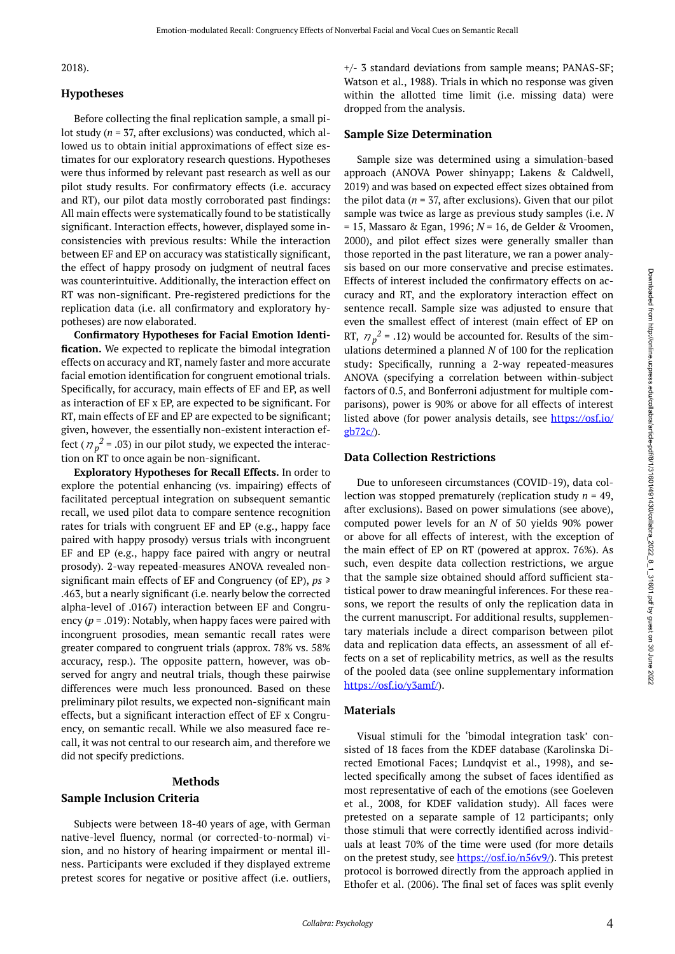### 2018).

#### **Hypotheses**

Before collecting the final replication sample, a small pilot study (*n* = 37, after exclusions) was conducted, which allowed us to obtain initial approximations of effect size estimates for our exploratory research questions. Hypotheses were thus informed by relevant past research as well as our pilot study results. For confirmatory effects (i.e. accuracy and RT), our pilot data mostly corroborated past findings: All main effects were systematically found to be statistically significant. Interaction effects, however, displayed some inconsistencies with previous results: While the interaction between EF and EP on accuracy was statistically significant, the effect of happy prosody on judgment of neutral faces was counterintuitive. Additionally, the interaction effect on RT was non-significant. Pre-registered predictions for the replication data (i.e. all confirmatory and exploratory hypotheses) are now elaborated.

**Confirmatory Hypotheses for Facial Emotion Identification.** We expected to replicate the bimodal integration effects on accuracy and RT, namely faster and more accurate facial emotion identification for congruent emotional trials. Specifically, for accuracy, main effects of EF and EP, as well as interaction of EF x EP, are expected to be significant. For RT, main effects of EF and EP are expected to be significant; given, however, the essentially non-existent interaction effect ( $\eta_p^2$  = .03) in our pilot study, we expected the interaction on RT to once again be non-significant.

**Exploratory Hypotheses for Recall Effects.** In order to explore the potential enhancing (vs. impairing) effects of facilitated perceptual integration on subsequent semantic recall, we used pilot data to compare sentence recognition rates for trials with congruent EF and EP (e.g., happy face paired with happy prosody) versus trials with incongruent EF and EP (e.g., happy face paired with angry or neutral prosody). 2-way repeated-measures ANOVA revealed nonsignificant main effects of EF and Congruency (of EP), *ps* ≥ .463, but a nearly significant (i.e. nearly below the corrected alpha-level of .0167) interaction between EF and Congruency (*p* = .019): Notably, when happy faces were paired with incongruent prosodies, mean semantic recall rates were greater compared to congruent trials (approx. 78% vs. 58% accuracy, resp.). The opposite pattern, however, was observed for angry and neutral trials, though these pairwise differences were much less pronounced. Based on these preliminary pilot results, we expected non-significant main effects, but a significant interaction effect of EF x Congruency, on semantic recall. While we also measured face recall, it was not central to our research aim, and therefore we did not specify predictions.

#### **Methods**

#### **Sample Inclusion Criteria**

Subjects were between 18-40 years of age, with German native-level fluency, normal (or corrected-to-normal) vision, and no history of hearing impairment or mental illness. Participants were excluded if they displayed extreme pretest scores for negative or positive affect (i.e. outliers, +/- 3 standard deviations from sample means; PANAS-SF; Watson et al., 1988). Trials in which no response was given within the allotted time limit (i.e. missing data) were dropped from the analysis.

#### **Sample Size Determination**

Sample size was determined using a simulation-based approach (ANOVA Power shinyapp; Lakens & Caldwell, 2019) and was based on expected effect sizes obtained from the pilot data  $(n = 37$ , after exclusions). Given that our pilot sample was twice as large as previous study samples (i.e. *N*  = 15, Massaro & Egan, 1996; *N* = 16, de Gelder & Vroomen, 2000), and pilot effect sizes were generally smaller than those reported in the past literature, we ran a power analysis based on our more conservative and precise estimates. Effects of interest included the confirmatory effects on accuracy and RT, and the exploratory interaction effect on sentence recall. Sample size was adjusted to ensure that even the smallest effect of interest (main effect of EP on RT,  $\eta_p^2$  = .12) would be accounted for. Results of the simulations determined a planned *N* of 100 for the replication study: Specifically, running a 2-way repeated-measures ANOVA (specifying a correlation between within-subject factors of 0.5, and Bonferroni adjustment for multiple comparisons), power is 90% or above for all effects of interest listed above (for power analysis details, see [https://osf.io/](https://osf.io/gb72c/) [gb72c/](https://osf.io/gb72c/)).

#### **Data Collection Restrictions**

Due to unforeseen circumstances (COVID-19), data collection was stopped prematurely (replication study *n* = 49, after exclusions). Based on power simulations (see above), computed power levels for an *N* of 50 yields 90% power or above for all effects of interest, with the exception of the main effect of EP on RT (powered at approx. 76%). As such, even despite data collection restrictions, we argue that the sample size obtained should afford sufficient statistical power to draw meaningful inferences. For these reasons, we report the results of only the replication data in the current manuscript. For additional results, supplementary materials include a direct comparison between pilot data and replication data effects, an assessment of all effects on a set of replicability metrics, as well as the results of the pooled data (see online supplementary information [https://osf.io/y3amf/\)](https://osf.io/y3amf/).

### **Materials**

Visual stimuli for the 'bimodal integration task' consisted of 18 faces from the KDEF database (Karolinska Directed Emotional Faces; Lundqvist et al., 1998), and selected specifically among the subset of faces identified as most representative of each of the emotions (see Goeleven et al., 2008, for KDEF validation study). All faces were pretested on a separate sample of 12 participants; only those stimuli that were correctly identified across individuals at least 70% of the time were used (for more details on the pretest study, see [https://osf.io/n56v9/\)](https://osf.io/n56v9/). This pretest protocol is borrowed directly from the approach applied in Ethofer et al. (2006). The final set of faces was split evenly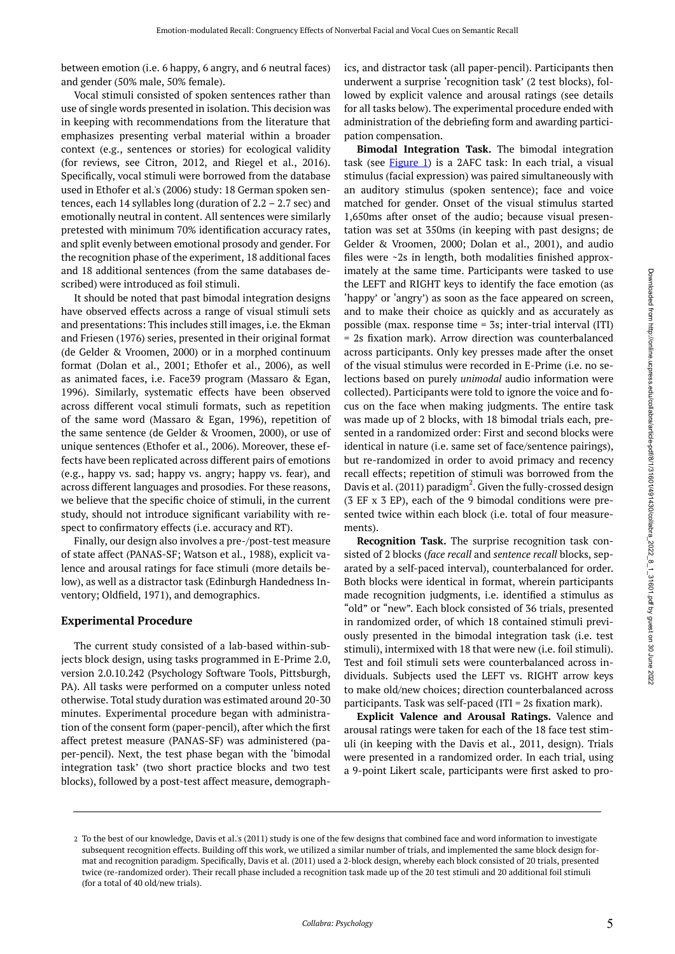between emotion (i.e. 6 happy, 6 angry, and 6 neutral faces) and gender (50% male, 50% female).

Vocal stimuli consisted of spoken sentences rather than use of single words presented in isolation. This decision was in keeping with recommendations from the literature that emphasizes presenting verbal material within a broader context (e.g., sentences or stories) for ecological validity (for reviews, see Citron, 2012, and Riegel et al., 2016). Specifically, vocal stimuli were borrowed from the database used in Ethofer et al.'s (2006) study: 18 German spoken sentences, each 14 syllables long (duration of  $2.2 - 2.7$  sec) and emotionally neutral in content. All sentences were similarly pretested with minimum 70% identification accuracy rates, and split evenly between emotional prosody and gender. For the recognition phase of the experiment, 18 additional faces and 18 additional sentences (from the same databases described) were introduced as foil stimuli.

It should be noted that past bimodal integration designs have observed effects across a range of visual stimuli sets and presentations: This includes still images, i.e. the Ekman and Friesen (1976) series, presented in their original format (de Gelder & Vroomen, 2000) or in a morphed continuum format (Dolan et al., 2001; Ethofer et al., 2006), as well as animated faces, i.e. Face39 program (Massaro & Egan, 1996). Similarly, systematic effects have been observed across different vocal stimuli formats, such as repetition of the same word (Massaro & Egan, 1996), repetition of the same sentence (de Gelder & Vroomen, 2000), or use of unique sentences (Ethofer et al., 2006). Moreover, these effects have been replicated across different pairs of emotions (e.g., happy vs. sad; happy vs. angry; happy vs. fear), and across different languages and prosodies. For these reasons, we believe that the specific choice of stimuli, in the current study, should not introduce significant variability with respect to confirmatory effects (i.e. accuracy and RT).

Finally, our design also involves a pre-/post-test measure of state affect (PANAS-SF; Watson et al., 1988), explicit valence and arousal ratings for face stimuli (more details below), as well as a distractor task (Edinburgh Handedness Inventory; Oldfield, 1971), and demographics.

### **Experimental Procedure**

The current study consisted of a lab-based within-subjects block design, using tasks programmed in E-Prime 2.0, version 2.0.10.242 (Psychology Software Tools, Pittsburgh, PA). All tasks were performed on a computer unless noted otherwise. Total study duration was estimated around 20-30 minutes. Experimental procedure began with administration of the consent form (paper-pencil), after which the first affect pretest measure (PANAS-SF) was administered (paper-pencil). Next, the test phase began with the 'bimodal integration task' (two short practice blocks and two test blocks), followed by a post-test affect measure, demographics, and distractor task (all paper-pencil). Participants then underwent a surprise 'recognition task' (2 test blocks), followed by explicit valence and arousal ratings (see details for all tasks below). The experimental procedure ended with administration of the debriefing form and awarding participation compensation.

**Bimodal Integration Task.** The bimodal integration task (see  $Figure 1$ ) is a 2AFC task: In each trial, a visual stimulus (facial expression) was paired simultaneously with an auditory stimulus (spoken sentence); face and voice matched for gender. Onset of the visual stimulus started 1,650ms after onset of the audio; because visual presentation was set at 350ms (in keeping with past designs; de Gelder & Vroomen, 2000; Dolan et al., 2001), and audio files were ~2s in length, both modalities finished approximately at the same time. Participants were tasked to use the LEFT and RIGHT keys to identify the face emotion (as 'happy' or 'angry') as soon as the face appeared on screen, and to make their choice as quickly and as accurately as possible (max. response time = 3s; inter-trial interval (ITI) = 2s fixation mark). Arrow direction was counterbalanced across participants. Only key presses made after the onset of the visual stimulus were recorded in E-Prime (i.e. no selections based on purely *unimodal* audio information were collected). Participants were told to ignore the voice and focus on the face when making judgments. The entire task was made up of 2 blocks, with 18 bimodal trials each, presented in a randomized order: First and second blocks were identical in nature (i.e. same set of face/sentence pairings), but re-randomized in order to avoid primacy and recency recall effects; repetition of stimuli was borrowed from the Davis et al. (2011) paradigm $^2$ . Given the fully-crossed design (3 EF x 3 EP), each of the 9 bimodal conditions were presented twice within each block (i.e. total of four measurements).

**Recognition Task.** The surprise recognition task consisted of 2 blocks (*face recall* and *sentence recall* blocks, separated by a self-paced interval), counterbalanced for order. Both blocks were identical in format, wherein participants made recognition judgments, i.e. identified a stimulus as "old" or "new". Each block consisted of 36 trials, presented in randomized order, of which 18 contained stimuli previously presented in the bimodal integration task (i.e. test stimuli), intermixed with 18 that were new (i.e. foil stimuli). Test and foil stimuli sets were counterbalanced across individuals. Subjects used the LEFT vs. RIGHT arrow keys to make old/new choices; direction counterbalanced across participants. Task was self-paced (ITI = 2s fixation mark).

**Explicit Valence and Arousal Ratings.** Valence and arousal ratings were taken for each of the 18 face test stimuli (in keeping with the Davis et al., 2011, design). Trials were presented in a randomized order. In each trial, using a 9-point Likert scale, participants were first asked to pro-

To the best of our knowledge, Davis et al.'s (2011) study is one of the few designs that combined face and word information to investigate 2 subsequent recognition effects. Building off this work, we utilized a similar number of trials, and implemented the same block design format and recognition paradigm. Specifically, Davis et al. (2011) used a 2-block design, whereby each block consisted of 20 trials, presented twice (re-randomized order). Their recall phase included a recognition task made up of the 20 test stimuli and 20 additional foil stimuli (for a total of 40 old/new trials).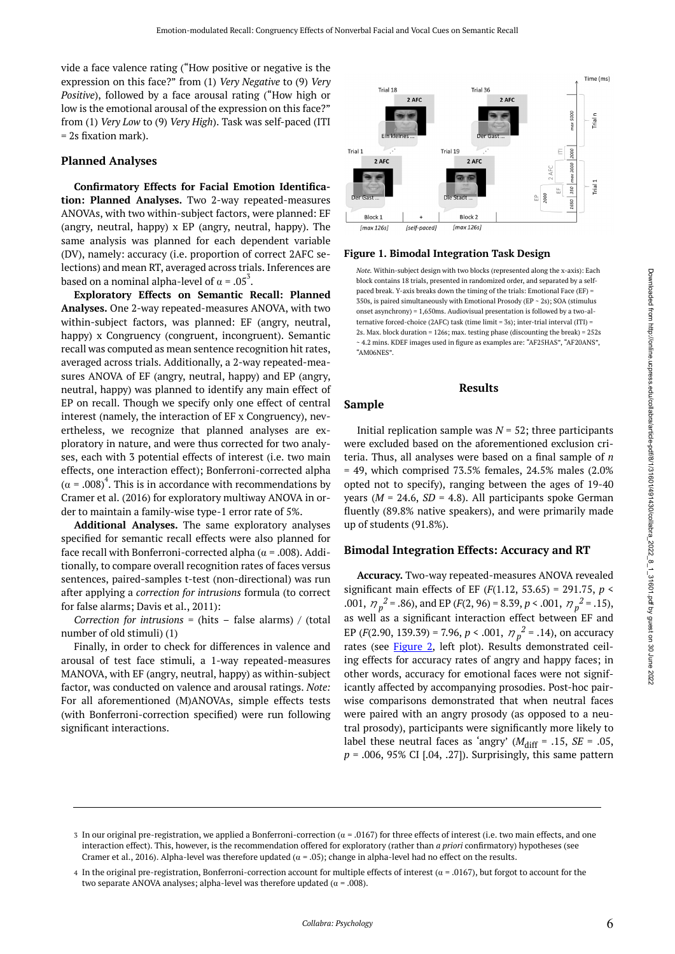<span id="page-5-0"></span>vide a face valence rating ("How positive or negative is the expression on this face?" from (1) *Very Negative* to (9) *Very Positive*), followed by a face arousal rating ("How high or low is the emotional arousal of the expression on this face?" from (1) *Very Low* to (9) *Very High*). Task was self-paced (ITI = 2s fixation mark).

#### **Planned Analyses**

**Confirmatory Effects for Facial Emotion Identification: Planned Analyses.** Two 2-way repeated-measures ANOVAs, with two within-subject factors, were planned: EF (angry, neutral, happy) x EP (angry, neutral, happy). The same analysis was planned for each dependent variable (DV), namely: accuracy (i.e. proportion of correct 2AFC selections) and mean RT, averaged across trials. Inferences are based on a nominal alpha-level of  $\alpha = .05^3$ .

**Exploratory Effects on Semantic Recall: Planned Analyses.** One 2-way repeated-measures ANOVA, with two within-subject factors, was planned: EF (angry, neutral, happy) x Congruency (congruent, incongruent). Semantic recall was computed as mean sentence recognition hit rates, averaged across trials. Additionally, a 2-way repeated-measures ANOVA of EF (angry, neutral, happy) and EP (angry, neutral, happy) was planned to identify any main effect of EP on recall. Though we specify only one effect of central interest (namely, the interaction of EF x Congruency), nevertheless, we recognize that planned analyses are exploratory in nature, and were thus corrected for two analyses, each with 3 potential effects of interest (i.e. two main effects, one interaction effect); Bonferroni-corrected alpha  $(\alpha = .008)^4$ . This is in accordance with recommendations by Cramer et al. (2016) for exploratory multiway ANOVA in order to maintain a family-wise type-1 error rate of 5%.

**Additional Analyses.** The same exploratory analyses specified for semantic recall effects were also planned for face recall with Bonferroni-corrected alpha ( $\alpha$  = .008). Additionally, to compare overall recognition rates of faces versus sentences, paired-samples t-test (non-directional) was run after applying a *correction for intrusions* formula (to correct for false alarms; Davis et al., 2011):

*Correction for intrusions* = (hits – false alarms) / (total number of old stimuli) (1)

Finally, in order to check for differences in valence and arousal of test face stimuli, a 1-way repeated-measures MANOVA, with EF (angry, neutral, happy) as within-subject factor, was conducted on valence and arousal ratings. *Note:*  For all aforementioned (M)ANOVAs, simple effects tests (with Bonferroni-correction specified) were run following significant interactions.



#### **Figure 1. Bimodal Integration Task Design**

*Note.* Within-subject design with two blocks (represented along the x-axis): Each block contains 18 trials, presented in randomized order, and separated by a selfpaced break. Y-axis breaks down the timing of the trials: Emotional Face (EF) = 350s, is paired simultaneously with Emotional Prosody (EP ~ 2s); SOA (stimulus onset asynchrony) = 1,650ms. Audiovisual presentation is followed by a two-alternative forced-choice (2AFC) task (time limit = 3s); inter-trial interval (ITI) = 2s. Max. block duration = 126s; max. testing phase (discounting the break) = 252s ~ 4.2 mins. KDEF images used in figure as examples are: "AF25HAS", "AF20ANS", "AM06NES".

#### **Results**

#### **Sample**

Initial replication sample was  $N = 52$ ; three participants were excluded based on the aforementioned exclusion criteria. Thus, all analyses were based on a final sample of *n*   $= 49$ , which comprised 73.5% females, 24.5% males  $(2.0\%)$ opted not to specify), ranging between the ages of 19-40 years ( $M = 24.6$ ,  $SD = 4.8$ ). All participants spoke German fluently (89.8% native speakers), and were primarily made up of students (91.8%).

### **Bimodal Integration Effects: Accuracy and RT**

**Accuracy.** Two-way repeated-measures ANOVA revealed significant main effects of EF (*F*(1.12, 53.65) = 291.75, *p* < .001,  $\eta_p^2 = .86$ , and EP (*F*(2, 96) = 8.39, *p* < .001,  $\eta_p^2 = .15$ ), as well as a significant interaction effect between EF and EP (*F*(2.90, 139.39) = 7.96, *p* < .001,  $\eta_p^2$  = .14), on accuracy rates (see [Figure 2](#page-6-0), left plot). Results demonstrated ceiling effects for accuracy rates of angry and happy faces; in other words, accuracy for emotional faces were not significantly affected by accompanying prosodies. Post-hoc pairwise comparisons demonstrated that when neutral faces were paired with an angry prosody (as opposed to a neutral prosody), participants were significantly more likely to label these neutral faces as 'angry' ( $M_{\text{diff}}$  = .15, *SE* = .05, *p* = .006, 95% CI [.04, .27]). Surprisingly, this same pattern

<sup>3</sup> In our original pre-registration, we applied a Bonferroni-correction ( $\alpha$  = .0167) for three effects of interest (i.e. two main effects, and one interaction effect). This, however, is the recommendation offered for exploratory (rather than *a priori* confirmatory) hypotheses (see Cramer et al., 2016). Alpha-level was therefore updated ( $\alpha = .05$ ); change in alpha-level had no effect on the results.

<sup>4</sup> In the original pre-registration, Bonferroni-correction account for multiple effects of interest ( $\alpha$  = .0167), but forgot to account for the two separate ANOVA analyses; alpha-level was therefore updated ( $\alpha$  = .008).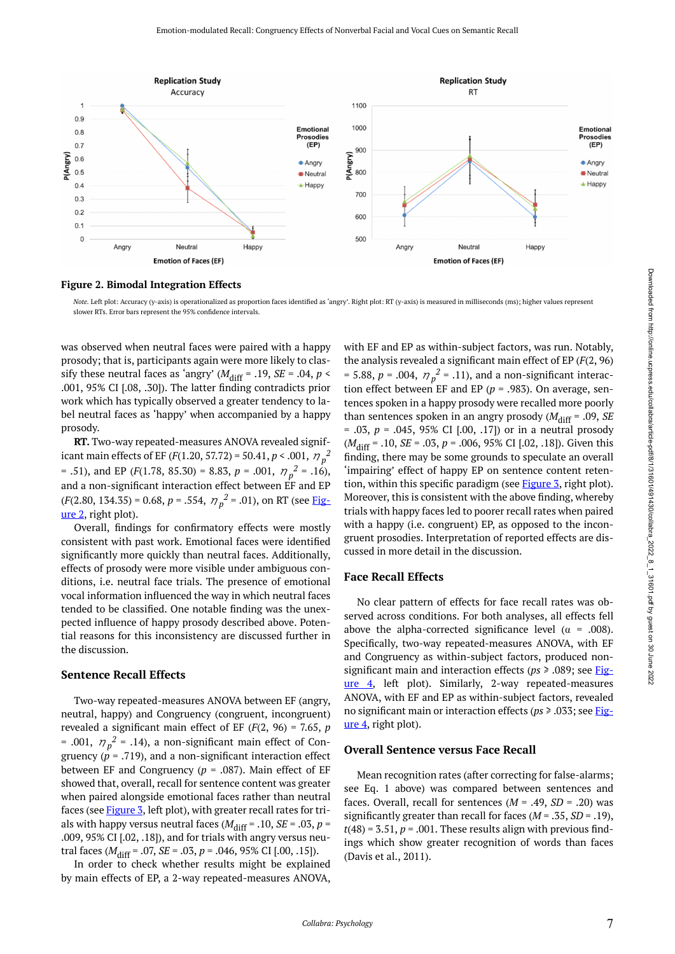<span id="page-6-0"></span>

**Figure 2. Bimodal Integration Effects** 

*Note.* Left plot: Accuracy (y-axis) is operationalized as proportion faces identified as 'angry'. Right plot: RT (y-axis) is measured in milliseconds (ms); higher values represent slower RTs. Error bars represent the 95% confidence intervals.

was observed when neutral faces were paired with a happy prosody; that is, participants again were more likely to classify these neutral faces as 'angry'  $(M_{\text{diff}} = .19, \text{ SE} = .04, p <$ .001, 95% CI [.08, .30]). The latter finding contradicts prior work which has typically observed a greater tendency to label neutral faces as 'happy' when accompanied by a happy prosody.

**RT.** Two-way repeated-measures ANOVA revealed significant main effects of EF (*F*(1.20, 57.72) = 50.41, *p* < .001,  $\eta_p^2$ = .51), and EP ( $F(1.78, 85.30) = 8.83$ ,  $p = .001$ ,  $\eta_p^2 = .16$ ), and a non-significant interaction effect between EF and EP  $(F(2.80, 134.35) = 0.68, p = .554, \eta_p^2 = .01)$ , on RT (see <u>Fig-</u> [ure 2](#page-6-0), right plot).

Overall, findings for confirmatory effects were mostly consistent with past work. Emotional faces were identified significantly more quickly than neutral faces. Additionally, effects of prosody were more visible under ambiguous conditions, i.e. neutral face trials. The presence of emotional vocal information influenced the way in which neutral faces tended to be classified. One notable finding was the unexpected influence of happy prosody described above. Potential reasons for this inconsistency are discussed further in the discussion.

#### **Sentence Recall Effects**

Two-way repeated-measures ANOVA between EF (angry, neutral, happy) and Congruency (congruent, incongruent) revealed a significant main effect of EF (*F*(2, 96) = 7.65, *p*  = .001,  $\eta_p^2$  = .14), a non-significant main effect of Congruency  $(p = .719)$ , and a non-significant interaction effect between EF and Congruency (*p* = .087). Main effect of EF showed that, overall, recall for sentence content was greater when paired alongside emotional faces rather than neutral faces (see [Figure 3,](#page-7-0) left plot), with greater recall rates for trials with happy versus neutral faces ( $M_{\text{diff}}$  = .10, *SE* = .03, *p* = .009, 95% CI [.02, .18]), and for trials with angry versus neutral faces ( $M_{\text{diff}}$  = .07,  $SE$  = .03,  $p$  = .046, 95% CI [.00, .15]).

In order to check whether results might be explained by main effects of EP, a 2-way repeated-measures ANOVA, with EF and EP as within-subject factors, was run. Notably, the analysis revealed a significant main effect of EP (*F*(2, 96)  $= 5.88, p = .004, \eta_p^2 = .11$ , and a non-significant interaction effect between EF and EP (*p* = .983). On average, sentences spoken in a happy prosody were recalled more poorly than sentences spoken in an angry prosody  $(M_{\text{diff}} = .09, SE)$ = .03, *p* = .045, 95% CI [.00, .17]) or in a neutral prosody (*M*diff = .10, *SE* = .03, *p* = .006, 95% CI [.02, .18]). Given this finding, there may be some grounds to speculate an overall 'impairing' effect of happy EP on sentence content reten-tion, within this specific paradigm (see [Figure 3](#page-7-0), right plot). Moreover, this is consistent with the above finding, whereby trials with happy faces led to poorer recall rates when paired with a happy (i.e. congruent) EP, as opposed to the incongruent prosodies. Interpretation of reported effects are discussed in more detail in the discussion.

#### **Face Recall Effects**

No clear pattern of effects for face recall rates was observed across conditions. For both analyses, all effects fell above the alpha-corrected significance level ( $\alpha$  = .008). Specifically, two-way repeated-measures ANOVA, with EF and Congruency as within-subject factors, produced nonsignificant main and interaction effects (*ps* ≥ .089; see [Fig](#page-7-1)[ure 4,](#page-7-1) left plot). Similarly, 2-way repeated-measures ANOVA, with EF and EP as within-subject factors, revealed no significant main or interaction effects (*ps* ≥ .033; see [Fig](#page-7-1)[ure 4,](#page-7-1) right plot).

#### **Overall Sentence versus Face Recall**

Mean recognition rates (after correcting for false-alarms; see Eq. 1 above) was compared between sentences and faces. Overall, recall for sentences  $(M = .49, SD = .20)$  was significantly greater than recall for faces (*M* = .35, *SD* = .19),  $t(48) = 3.51$ ,  $p = .001$ . These results align with previous findings which show greater recognition of words than faces (Davis et al., 2011).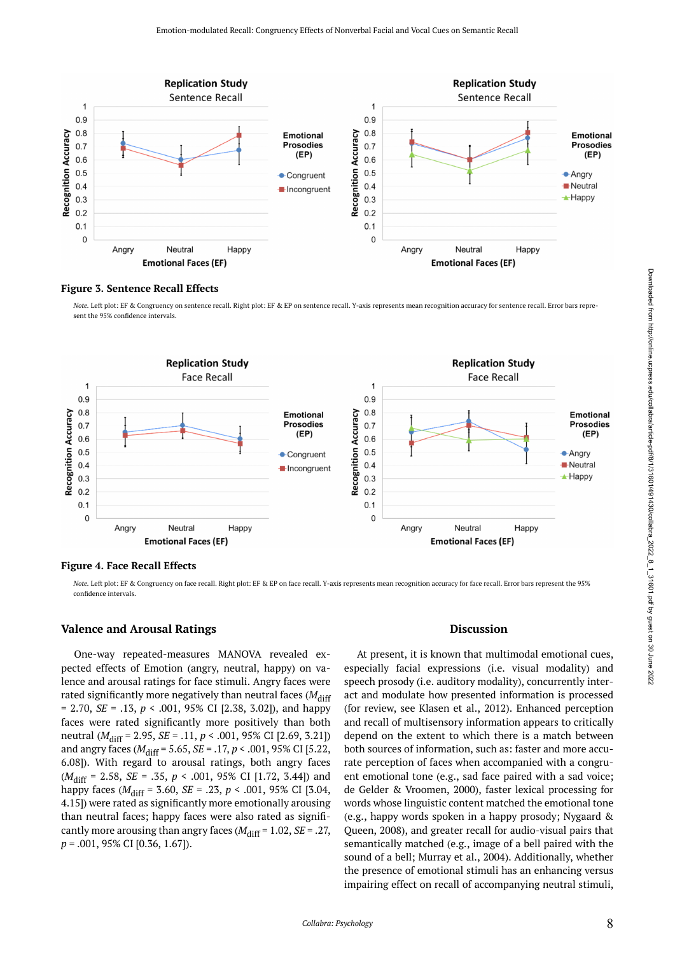<span id="page-7-0"></span>

#### **Figure 3. Sentence Recall Effects**

*Note.* Left plot: EF & Congruency on sentence recall. Right plot: EF & EP on sentence recall. Y-axis represents mean recognition accuracy for sentence recall. Error bars represent the 95% confidence intervals.

<span id="page-7-1"></span>

#### **Figure 4. Face Recall Effects**

*Note.* Left plot: EF & Congruency on face recall. Right plot: EF & EP on face recall. Y-axis represents mean recognition accuracy for face recall. Error bars represent the 95% confidence intervals.

#### **Valence and Arousal Ratings**

One-way repeated-measures MANOVA revealed expected effects of Emotion (angry, neutral, happy) on valence and arousal ratings for face stimuli. Angry faces were rated significantly more negatively than neutral faces ( $M<sub>diff</sub>$ = 2.70, *SE* = .13, *p* < .001, 95% CI [2.38, 3.02]), and happy faces were rated significantly more positively than both neutral (*M*diff = 2.95, *SE* = .11, *p* < .001, 95% CI [2.69, 3.21]) and angry faces ( $M_{\text{diff}}$  = 5.65, *SE* = .17, *p* < .001, 95% CI [5.22, 6.08]). With regard to arousal ratings, both angry faces (*M*diff = 2.58, *SE* = .35, *p* < .001, 95% CI [1.72, 3.44]) and happy faces ( $M_{\text{diff}}$  = 3.60, *SE* = .23, *p* < .001, 95% CI [3.04, 4.15]) were rated as significantly more emotionally arousing than neutral faces; happy faces were also rated as significantly more arousing than angry faces ( $M_{\text{diff}}$  = 1.02, *SE* = .27, *p* = .001, 95% CI [0.36, 1.67]).

#### **Discussion**

At present, it is known that multimodal emotional cues, especially facial expressions (i.e. visual modality) and speech prosody (i.e. auditory modality), concurrently interact and modulate how presented information is processed (for review, see Klasen et al., 2012). Enhanced perception and recall of multisensory information appears to critically depend on the extent to which there is a match between both sources of information, such as: faster and more accurate perception of faces when accompanied with a congruent emotional tone (e.g., sad face paired with a sad voice; de Gelder & Vroomen, 2000), faster lexical processing for words whose linguistic content matched the emotional tone (e.g., happy words spoken in a happy prosody; Nygaard & Queen, 2008), and greater recall for audio-visual pairs that semantically matched (e.g., image of a bell paired with the sound of a bell; Murray et al., 2004). Additionally, whether the presence of emotional stimuli has an enhancing versus impairing effect on recall of accompanying neutral stimuli,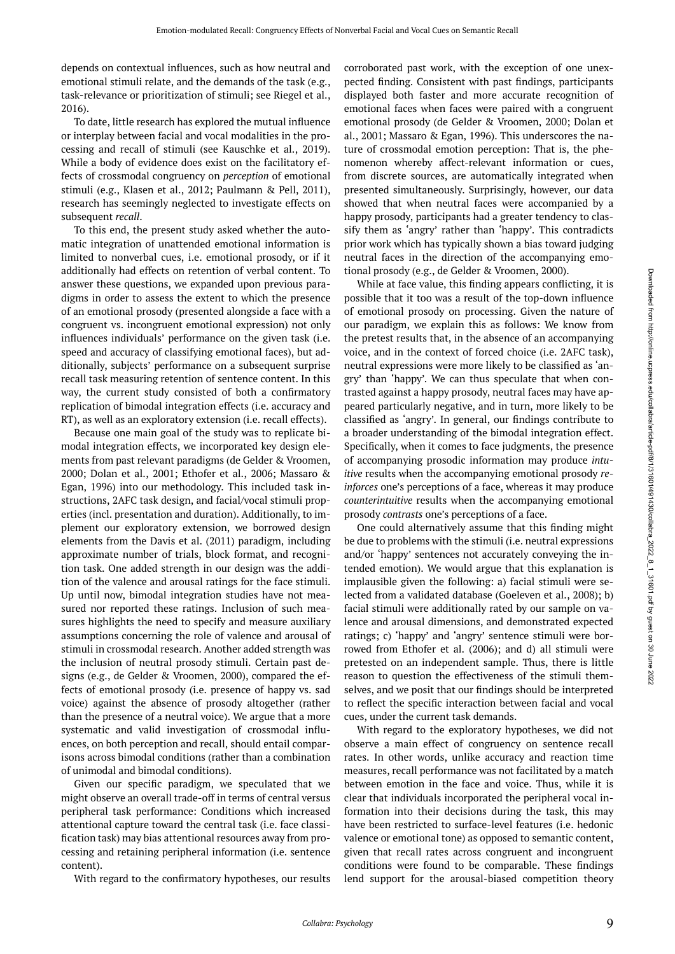depends on contextual influences, such as how neutral and emotional stimuli relate, and the demands of the task (e.g., task-relevance or prioritization of stimuli; see Riegel et al., 2016).

To date, little research has explored the mutual influence or interplay between facial and vocal modalities in the processing and recall of stimuli (see Kauschke et al., 2019). While a body of evidence does exist on the facilitatory effects of crossmodal congruency on *perception* of emotional stimuli (e.g., Klasen et al., 2012; Paulmann & Pell, 2011), research has seemingly neglected to investigate effects on subsequent *recall*.

To this end, the present study asked whether the automatic integration of unattended emotional information is limited to nonverbal cues, i.e. emotional prosody, or if it additionally had effects on retention of verbal content. To answer these questions, we expanded upon previous paradigms in order to assess the extent to which the presence of an emotional prosody (presented alongside a face with a congruent vs. incongruent emotional expression) not only influences individuals' performance on the given task (i.e. speed and accuracy of classifying emotional faces), but additionally, subjects' performance on a subsequent surprise recall task measuring retention of sentence content. In this way, the current study consisted of both a confirmatory replication of bimodal integration effects (i.e. accuracy and RT), as well as an exploratory extension (i.e. recall effects).

Because one main goal of the study was to replicate bimodal integration effects, we incorporated key design elements from past relevant paradigms (de Gelder & Vroomen, 2000; Dolan et al., 2001; Ethofer et al., 2006; Massaro & Egan, 1996) into our methodology. This included task instructions, 2AFC task design, and facial/vocal stimuli properties (incl. presentation and duration). Additionally, to implement our exploratory extension, we borrowed design elements from the Davis et al. (2011) paradigm, including approximate number of trials, block format, and recognition task. One added strength in our design was the addition of the valence and arousal ratings for the face stimuli. Up until now, bimodal integration studies have not measured nor reported these ratings. Inclusion of such measures highlights the need to specify and measure auxiliary assumptions concerning the role of valence and arousal of stimuli in crossmodal research. Another added strength was the inclusion of neutral prosody stimuli. Certain past designs (e.g., de Gelder & Vroomen, 2000), compared the effects of emotional prosody (i.e. presence of happy vs. sad voice) against the absence of prosody altogether (rather than the presence of a neutral voice). We argue that a more systematic and valid investigation of crossmodal influences, on both perception and recall, should entail comparisons across bimodal conditions (rather than a combination of unimodal and bimodal conditions).

Given our specific paradigm, we speculated that we might observe an overall trade-off in terms of central versus peripheral task performance: Conditions which increased attentional capture toward the central task (i.e. face classification task) may bias attentional resources away from processing and retaining peripheral information (i.e. sentence content).

With regard to the confirmatory hypotheses, our results

corroborated past work, with the exception of one unexpected finding. Consistent with past findings, participants displayed both faster and more accurate recognition of emotional faces when faces were paired with a congruent emotional prosody (de Gelder & Vroomen, 2000; Dolan et al., 2001; Massaro & Egan, 1996). This underscores the nature of crossmodal emotion perception: That is, the phenomenon whereby affect-relevant information or cues, from discrete sources, are automatically integrated when presented simultaneously. Surprisingly, however, our data showed that when neutral faces were accompanied by a happy prosody, participants had a greater tendency to classify them as 'angry' rather than 'happy'. This contradicts prior work which has typically shown a bias toward judging neutral faces in the direction of the accompanying emotional prosody (e.g., de Gelder & Vroomen, 2000).

While at face value, this finding appears conflicting, it is possible that it too was a result of the top-down influence of emotional prosody on processing. Given the nature of our paradigm, we explain this as follows: We know from the pretest results that, in the absence of an accompanying voice, and in the context of forced choice (i.e. 2AFC task), neutral expressions were more likely to be classified as 'angry' than 'happy'. We can thus speculate that when contrasted against a happy prosody, neutral faces may have appeared particularly negative, and in turn, more likely to be classified as 'angry'. In general, our findings contribute to a broader understanding of the bimodal integration effect. Specifically, when it comes to face judgments, the presence of accompanying prosodic information may produce *intuitive* results when the accompanying emotional prosody *reinforces* one's perceptions of a face, whereas it may produce *counterintuitive* results when the accompanying emotional prosody *contrasts* one's perceptions of a face.

One could alternatively assume that this finding might be due to problems with the stimuli (i.e. neutral expressions and/or 'happy' sentences not accurately conveying the intended emotion). We would argue that this explanation is implausible given the following: a) facial stimuli were selected from a validated database (Goeleven et al., 2008); b) facial stimuli were additionally rated by our sample on valence and arousal dimensions, and demonstrated expected ratings; c) 'happy' and 'angry' sentence stimuli were borrowed from Ethofer et al. (2006); and d) all stimuli were pretested on an independent sample. Thus, there is little reason to question the effectiveness of the stimuli themselves, and we posit that our findings should be interpreted to reflect the specific interaction between facial and vocal cues, under the current task demands.

With regard to the exploratory hypotheses, we did not observe a main effect of congruency on sentence recall rates. In other words, unlike accuracy and reaction time measures, recall performance was not facilitated by a match between emotion in the face and voice. Thus, while it is clear that individuals incorporated the peripheral vocal information into their decisions during the task, this may have been restricted to surface-level features (i.e. hedonic valence or emotional tone) as opposed to semantic content, given that recall rates across congruent and incongruent conditions were found to be comparable. These findings lend support for the arousal-biased competition theory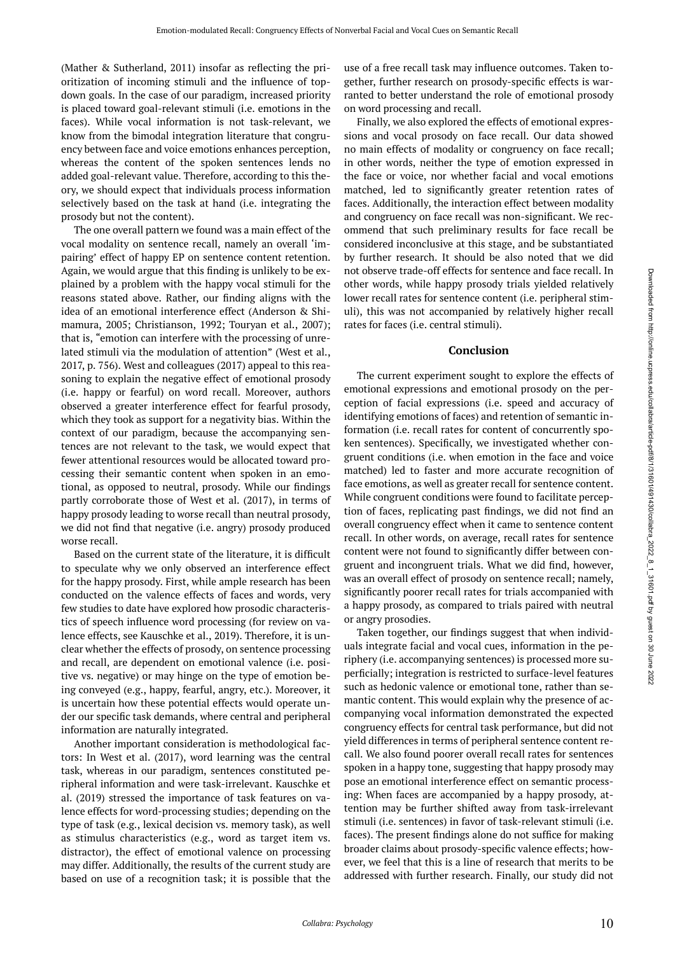(Mather & Sutherland, 2011) insofar as reflecting the prioritization of incoming stimuli and the influence of topdown goals. In the case of our paradigm, increased priority is placed toward goal-relevant stimuli (i.e. emotions in the faces). While vocal information is not task-relevant, we know from the bimodal integration literature that congruency between face and voice emotions enhances perception, whereas the content of the spoken sentences lends no added goal-relevant value. Therefore, according to this theory, we should expect that individuals process information selectively based on the task at hand (i.e. integrating the prosody but not the content).

The one overall pattern we found was a main effect of the vocal modality on sentence recall, namely an overall 'impairing' effect of happy EP on sentence content retention. Again, we would argue that this finding is unlikely to be explained by a problem with the happy vocal stimuli for the reasons stated above. Rather, our finding aligns with the idea of an emotional interference effect (Anderson & Shimamura, 2005; Christianson, 1992; Touryan et al., 2007); that is, "emotion can interfere with the processing of unrelated stimuli via the modulation of attention" (West et al., 2017, p. 756). West and colleagues (2017) appeal to this reasoning to explain the negative effect of emotional prosody (i.e. happy or fearful) on word recall. Moreover, authors observed a greater interference effect for fearful prosody, which they took as support for a negativity bias. Within the context of our paradigm, because the accompanying sentences are not relevant to the task, we would expect that fewer attentional resources would be allocated toward processing their semantic content when spoken in an emotional, as opposed to neutral, prosody. While our findings partly corroborate those of West et al. (2017), in terms of happy prosody leading to worse recall than neutral prosody, we did not find that negative (i.e. angry) prosody produced worse recall.

Based on the current state of the literature, it is difficult to speculate why we only observed an interference effect for the happy prosody. First, while ample research has been conducted on the valence effects of faces and words, very few studies to date have explored how prosodic characteristics of speech influence word processing (for review on valence effects, see Kauschke et al., 2019). Therefore, it is unclear whether the effects of prosody, on sentence processing and recall, are dependent on emotional valence (i.e. positive vs. negative) or may hinge on the type of emotion being conveyed (e.g., happy, fearful, angry, etc.). Moreover, it is uncertain how these potential effects would operate under our specific task demands, where central and peripheral information are naturally integrated.

Another important consideration is methodological factors: In West et al. (2017), word learning was the central task, whereas in our paradigm, sentences constituted peripheral information and were task-irrelevant. Kauschke et al. (2019) stressed the importance of task features on valence effects for word-processing studies; depending on the type of task (e.g., lexical decision vs. memory task), as well as stimulus characteristics (e.g., word as target item vs. distractor), the effect of emotional valence on processing may differ. Additionally, the results of the current study are based on use of a recognition task; it is possible that the

use of a free recall task may influence outcomes. Taken together, further research on prosody-specific effects is warranted to better understand the role of emotional prosody on word processing and recall.

Finally, we also explored the effects of emotional expressions and vocal prosody on face recall. Our data showed no main effects of modality or congruency on face recall; in other words, neither the type of emotion expressed in the face or voice, nor whether facial and vocal emotions matched, led to significantly greater retention rates of faces. Additionally, the interaction effect between modality and congruency on face recall was non-significant. We recommend that such preliminary results for face recall be considered inconclusive at this stage, and be substantiated by further research. It should be also noted that we did not observe trade-off effects for sentence and face recall. In other words, while happy prosody trials yielded relatively lower recall rates for sentence content (i.e. peripheral stimuli), this was not accompanied by relatively higher recall rates for faces (i.e. central stimuli).

#### **Conclusion**

The current experiment sought to explore the effects of emotional expressions and emotional prosody on the perception of facial expressions (i.e. speed and accuracy of identifying emotions of faces) and retention of semantic information (i.e. recall rates for content of concurrently spoken sentences). Specifically, we investigated whether congruent conditions (i.e. when emotion in the face and voice matched) led to faster and more accurate recognition of face emotions, as well as greater recall for sentence content. While congruent conditions were found to facilitate perception of faces, replicating past findings, we did not find an overall congruency effect when it came to sentence content recall. In other words, on average, recall rates for sentence content were not found to significantly differ between congruent and incongruent trials. What we did find, however, was an overall effect of prosody on sentence recall; namely, significantly poorer recall rates for trials accompanied with a happy prosody, as compared to trials paired with neutral or angry prosodies.

Taken together, our findings suggest that when individuals integrate facial and vocal cues, information in the periphery (i.e. accompanying sentences) is processed more superficially; integration is restricted to surface-level features such as hedonic valence or emotional tone, rather than semantic content. This would explain why the presence of accompanying vocal information demonstrated the expected congruency effects for central task performance, but did not yield differences in terms of peripheral sentence content recall. We also found poorer overall recall rates for sentences spoken in a happy tone, suggesting that happy prosody may pose an emotional interference effect on semantic processing: When faces are accompanied by a happy prosody, attention may be further shifted away from task-irrelevant stimuli (i.e. sentences) in favor of task-relevant stimuli (i.e. faces). The present findings alone do not suffice for making broader claims about prosody-specific valence effects; however, we feel that this is a line of research that merits to be addressed with further research. Finally, our study did not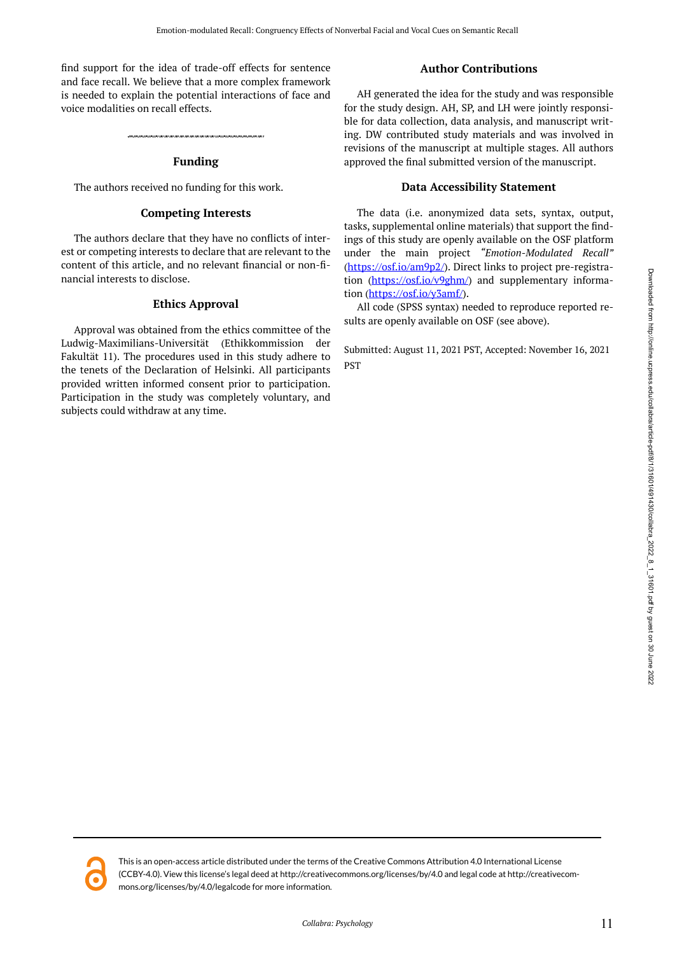find support for the idea of trade-off effects for sentence and face recall. We believe that a more complex framework is needed to explain the potential interactions of face and voice modalities on recall effects.

### **Funding**

The authors received no funding for this work.

#### **Competing Interests**

The authors declare that they have no conflicts of interest or competing interests to declare that are relevant to the content of this article, and no relevant financial or non-financial interests to disclose.

#### **Ethics Approval**

Approval was obtained from the ethics committee of the Ludwig-Maximilians-Universität (Ethikkommission der Fakultät 11). The procedures used in this study adhere to the tenets of the Declaration of Helsinki. All participants provided written informed consent prior to participation. Participation in the study was completely voluntary, and subjects could withdraw at any time.

### **Author Contributions**

AH generated the idea for the study and was responsible for the study design. AH, SP, and LH were jointly responsible for data collection, data analysis, and manuscript writing. DW contributed study materials and was involved in revisions of the manuscript at multiple stages. All authors approved the final submitted version of the manuscript.

### **Data Accessibility Statement**

The data (i.e. anonymized data sets, syntax, output, tasks, supplemental online materials) that support the findings of this study are openly available on the OSF platform under the main project *"Emotion-Modulated Recall"*  ([https://osf.io/am9p2/\)](https://osf.io/am9p2/). Direct links to project pre-registration (<https://osf.io/v9ghm/>) and supplementary informa-tion [\(https://osf.io/y3amf/](https://osf.io/y3amf/)).

All code (SPSS syntax) needed to reproduce reported results are openly available on OSF (see above).

Submitted: August 11, 2021 PST, Accepted: November 16, 2021 PST

This is an open-access article distributed under the terms of the Creative Commons Attribution 4.0 International License (CCBY-4.0). View this license's legal deed at http://creativecommons.org/licenses/by/4.0 and legal code at http://creativecommons.org/licenses/by/4.0/legalcode for more information.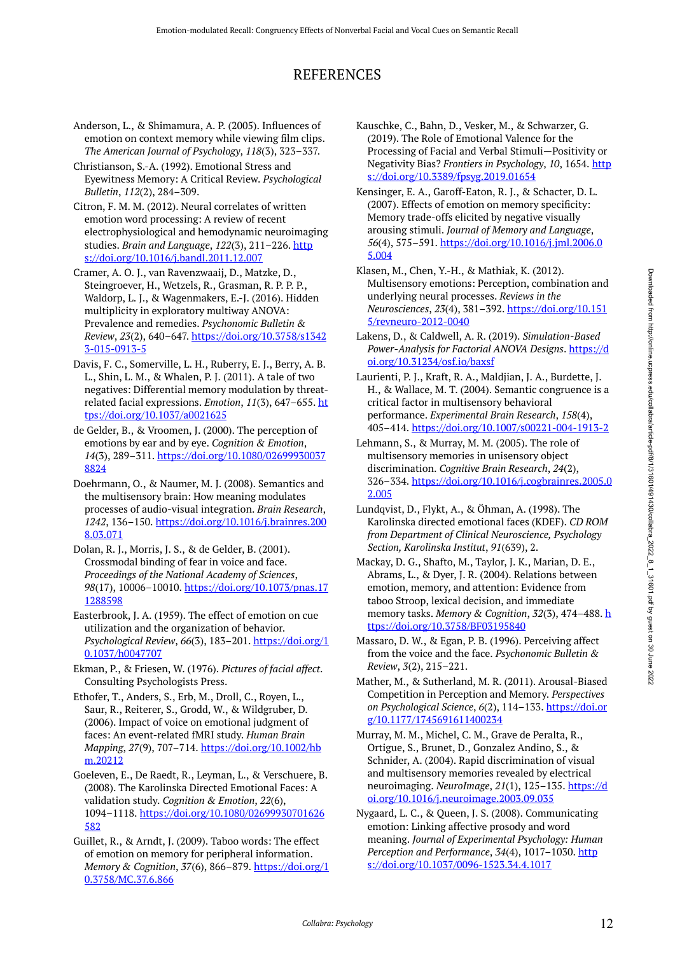# REFERENCES

Anderson, L., & Shimamura, A. P. (2005). Influences of emotion on context memory while viewing film clips. *The American Journal of Psychology*, *118*(3), 323–337.

Christianson, S.-A. (1992). Emotional Stress and Eyewitness Memory: A Critical Review. *Psychological Bulletin*, *112*(2), 284–309.

Citron, F. M. M. (2012). Neural correlates of written emotion word processing: A review of recent electrophysiological and hemodynamic neuroimaging studies. *Brain and Language*, *122*(3), 211–226. [http](https://doi.org/10.1016/j.bandl.2011.12.007) [s://doi.org/10.1016/j.bandl.2011.12.007](https://doi.org/10.1016/j.bandl.2011.12.007) 

Cramer, A. O. J., van Ravenzwaaij, D., Matzke, D., Steingroever, H., Wetzels, R., Grasman, R. P. P. P., Waldorp, L. J., & Wagenmakers, E.-J. (2016). Hidden multiplicity in exploratory multiway ANOVA: Prevalence and remedies. *Psychonomic Bulletin & Review*, *23*(2), 640–647. [https://doi.org/10.3758/s1342](https://doi.org/10.3758/s13423-015-0913-5) [3-015-0913-5](https://doi.org/10.3758/s13423-015-0913-5)

Davis, F. C., Somerville, L. H., Ruberry, E. J., Berry, A. B. L., Shin, L. M., & Whalen, P. J. (2011). A tale of two negatives: Differential memory modulation by threatrelated facial expressions. *Emotion*, *11*(3), 647–655. [ht](https://doi.org/10.1037/a0021625) [tps://doi.org/10.1037/a0021625](https://doi.org/10.1037/a0021625) 

de Gelder, B., & Vroomen, J. (2000). The perception of emotions by ear and by eye. *Cognition & Emotion*, *14*(3), 289–311. [https://doi.org/10.1080/02699930037](https://doi.org/10.1080/026999300378824) [8824](https://doi.org/10.1080/026999300378824) 

Doehrmann, O., & Naumer, M. J. (2008). Semantics and the multisensory brain: How meaning modulates processes of audio-visual integration. *Brain Research*, *1242*, 136–150. [https://doi.org/10.1016/j.brainres.200](https://doi.org/10.1016/j.brainres.2008.03.071) [8.03.071](https://doi.org/10.1016/j.brainres.2008.03.071)

Dolan, R. J., Morris, J. S., & de Gelder, B. (2001). Crossmodal binding of fear in voice and face. *Proceedings of the National Academy of Sciences*, *98*(17), 10006–10010. [https://doi.org/10.1073/pnas.17](https://doi.org/10.1073/pnas.171288598) [1288598](https://doi.org/10.1073/pnas.171288598)

Easterbrook, J. A. (1959). The effect of emotion on cue utilization and the organization of behavior. *Psychological Review*, *66*(3), 183–201. [https://doi.org/1](https://doi.org/10.1037/h0047707) [0.1037/h0047707](https://doi.org/10.1037/h0047707)

Ekman, P., & Friesen, W. (1976). *Pictures of facial affect*. Consulting Psychologists Press.

Ethofer, T., Anders, S., Erb, M., Droll, C., Royen, L., Saur, R., Reiterer, S., Grodd, W., & Wildgruber, D. (2006). Impact of voice on emotional judgment of faces: An event-related fMRI study. *Human Brain Mapping*, *27*(9), 707–714. [https://doi.org/10.1002/hb](https://doi.org/10.1002/hbm.20212) [m.20212](https://doi.org/10.1002/hbm.20212) 

Goeleven, E., De Raedt, R., Leyman, L., & Verschuere, B. (2008). The Karolinska Directed Emotional Faces: A validation study. *Cognition & Emotion*, *22*(6), 1094–1118. [https://doi.org/10.1080/02699930701626](https://doi.org/10.1080/02699930701626582) [582](https://doi.org/10.1080/02699930701626582) 

Guillet, R., & Arndt, J. (2009). Taboo words: The effect of emotion on memory for peripheral information. *Memory & Cognition*, *37*(6), 866–879. [https://doi.org/1](https://doi.org/10.3758/MC.37.6.866) [0.3758/MC.37.6.866](https://doi.org/10.3758/MC.37.6.866)

Kauschke, C., Bahn, D., Vesker, M., & Schwarzer, G. (2019). The Role of Emotional Valence for the Processing of Facial and Verbal Stimuli—Positivity or Negativity Bias? *Frontiers in Psychology*, *10*, 1654. [http](https://doi.org/10.3389/fpsyg.2019.01654) [s://doi.org/10.3389/fpsyg.2019.01654](https://doi.org/10.3389/fpsyg.2019.01654)

Kensinger, E. A., Garoff-Eaton, R. J., & Schacter, D. L. (2007). Effects of emotion on memory specificity: Memory trade-offs elicited by negative visually arousing stimuli. *Journal of Memory and Language*, *56*(4), 575–591. [https://doi.org/10.1016/j.jml.2006.0](https://doi.org/10.1016/j.jml.2006.05.004) [5.004](https://doi.org/10.1016/j.jml.2006.05.004) 

Klasen, M., Chen, Y.-H., & Mathiak, K. (2012). Multisensory emotions: Perception, combination and underlying neural processes. *Reviews in the Neurosciences*, *23*(4), 381–392. [https://doi.org/10.151](https://doi.org/10.1515/revneuro-2012-0040) [5/revneuro-2012-0040](https://doi.org/10.1515/revneuro-2012-0040) 

Lakens, D., & Caldwell, A. R. (2019). *Simulation-Based Power-Analysis for Factorial ANOVA Designs*. [https://d](https://doi.org/10.31234/osf.io/baxsf) [oi.org/10.31234/osf.io/baxsf](https://doi.org/10.31234/osf.io/baxsf) 

Laurienti, P. J., Kraft, R. A., Maldjian, J. A., Burdette, J. H., & Wallace, M. T. (2004). Semantic congruence is a critical factor in multisensory behavioral performance. *Experimental Brain Research*, *158*(4), 405–414.<https://doi.org/10.1007/s00221-004-1913-2>

Lehmann, S., & Murray, M. M. (2005). The role of multisensory memories in unisensory object discrimination. *Cognitive Brain Research*, *24*(2), 326–334. [https://doi.org/10.1016/j.cogbrainres.2005.0](https://doi.org/10.1016/j.cogbrainres.2005.02.005) [2.005](https://doi.org/10.1016/j.cogbrainres.2005.02.005) 

Lundqvist, D., Flykt, A., & Öhman, A. (1998). The Karolinska directed emotional faces (KDEF). *CD ROM from Department of Clinical Neuroscience, Psychology Section, Karolinska Institut*, *91*(639), 2.

Mackay, D. G., Shafto, M., Taylor, J. K., Marian, D. E., Abrams, L., & Dyer, J. R. (2004). Relations between emotion, memory, and attention: Evidence from taboo Stroop, lexical decision, and immediate memory tasks. *Memory & Cognition*, *32*(3), 474–488. [h](https://doi.org/10.3758/BF03195840) [ttps://doi.org/10.3758/BF03195840](https://doi.org/10.3758/BF03195840) 

Massaro, D. W., & Egan, P. B. (1996). Perceiving affect from the voice and the face. *Psychonomic Bulletin & Review*, *3*(2), 215–221.

Mather, M., & Sutherland, M. R. (2011). Arousal-Biased Competition in Perception and Memory. *Perspectives on Psychological Science*, *6*(2), 114–133. [https://doi.or](https://doi.org/10.1177/1745691611400234) [g/10.1177/1745691611400234](https://doi.org/10.1177/1745691611400234)

Murray, M. M., Michel, C. M., Grave de Peralta, R., Ortigue, S., Brunet, D., Gonzalez Andino, S., & Schnider, A. (2004). Rapid discrimination of visual and multisensory memories revealed by electrical neuroimaging. *NeuroImage*, *21*(1), 125–135. [https://d](https://doi.org/10.1016/j.neuroimage.2003.09.035) [oi.org/10.1016/j.neuroimage.2003.09.035](https://doi.org/10.1016/j.neuroimage.2003.09.035) 

Nygaard, L. C., & Queen, J. S. (2008). Communicating emotion: Linking affective prosody and word meaning. *Journal of Experimental Psychology: Human Perception and Performance*, *34*(4), 1017–1030. [http](https://doi.org/10.1037/0096-1523.34.4.1017) [s://doi.org/10.1037/0096-1523.34.4.1017](https://doi.org/10.1037/0096-1523.34.4.1017)

Downloaded from http://online.ucpress.edu/collabra/article-pdf/8/1/31601/491430/collabra\_2022\_8\_1\_31601.pdf by guest on 30 June 2022 Downloaded from http://online.ucpress.edu/collabra/article-pdf/8/1/3161430/collabra\_2022\_8\_1\_31601.pdf by guest on 30 June 2022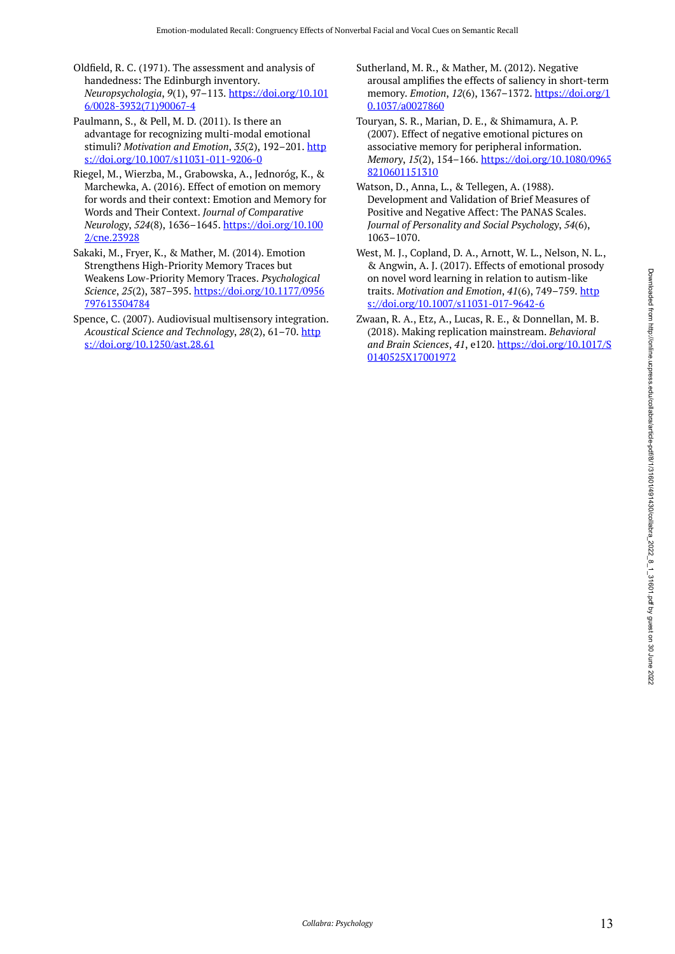- Oldfield, R. C. (1971). The assessment and analysis of handedness: The Edinburgh inventory. *Neuropsychologia*, *9*(1), 97–113. [https://doi.org/10.101](https://doi.org/10.1016/0028-3932(71)90067-4) [6/0028-3932\(71\)90067-4](https://doi.org/10.1016/0028-3932(71)90067-4)
- Paulmann, S., & Pell, M. D. (2011). Is there an advantage for recognizing multi-modal emotional stimuli? *Motivation and Emotion*, *35*(2), 192–201. [http](https://doi.org/10.1007/s11031-011-9206-0) [s://doi.org/10.1007/s11031-011-9206-0](https://doi.org/10.1007/s11031-011-9206-0)
- Riegel, M., Wierzba, M., Grabowska, A., Jednoróg, K., & Marchewka, A. (2016). Effect of emotion on memory for words and their context: Emotion and Memory for Words and Their Context. *Journal of Comparative Neurology*, *524*(8), 1636–1645. [https://doi.org/10.100](https://doi.org/10.1002/cne.23928) [2/cne.23928](https://doi.org/10.1002/cne.23928)
- Sakaki, M., Fryer, K., & Mather, M. (2014). Emotion Strengthens High-Priority Memory Traces but Weakens Low-Priority Memory Traces. *Psychological Science*, *25*(2), 387–395. [https://doi.org/10.1177/0956](https://doi.org/10.1177/0956797613504784) [797613504784](https://doi.org/10.1177/0956797613504784)
- Spence, C. (2007). Audiovisual multisensory integration. *Acoustical Science and Technology*, *28*(2), 61–70. [http](https://doi.org/10.1250/ast.28.61) [s://doi.org/10.1250/ast.28.61](https://doi.org/10.1250/ast.28.61)
- Sutherland, M. R., & Mather, M. (2012). Negative arousal amplifies the effects of saliency in short-term memory. *Emotion*, *12*(6), 1367–1372. [https://doi.org/1](https://doi.org/10.1037/a0027860) [0.1037/a0027860](https://doi.org/10.1037/a0027860)
- Touryan, S. R., Marian, D. E., & Shimamura, A. P. (2007). Effect of negative emotional pictures on associative memory for peripheral information. *Memory*, *15*(2), 154–166. [https://doi.org/10.1080/0965](https://doi.org/10.1080/09658210601151310) [8210601151310](https://doi.org/10.1080/09658210601151310)
- Watson, D., Anna, L., & Tellegen, A. (1988). Development and Validation of Brief Measures of Positive and Negative Affect: The PANAS Scales. *Journal of Personality and Social Psychology*, *54*(6), 1063–1070.
- West, M. J., Copland, D. A., Arnott, W. L., Nelson, N. L., & Angwin, A. J. (2017). Effects of emotional prosody on novel word learning in relation to autism-like traits. *Motivation and Emotion*, *41*(6), 749–759. [http](https://doi.org/10.1007/s11031-017-9642-6) [s://doi.org/10.1007/s11031-017-9642-6](https://doi.org/10.1007/s11031-017-9642-6)
- Zwaan, R. A., Etz, A., Lucas, R. E., & Donnellan, M. B. (2018). Making replication mainstream. *Behavioral and Brain Sciences*, *41*, e120. [https://doi.org/10.1017/S](https://doi.org/10.1017/S0140525X17001972) [0140525X17001972](https://doi.org/10.1017/S0140525X17001972)